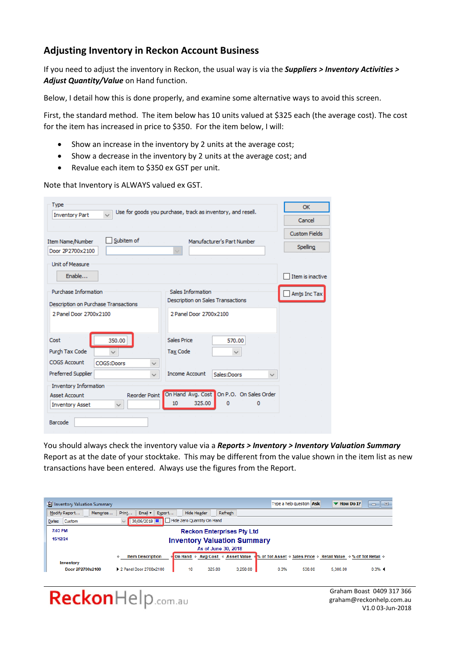# **Adjusting Inventory in Reckon Account Business**

If you need to adjust the inventory in Reckon, the usual way is via the *Suppliers > Inventory Activities > Adjust Quantity/Value* on Hand function.

Below, I detail how this is done properly, and examine some alternative ways to avoid this screen.

First, the standard method. The item below has 10 units valued at \$325 each (the average cost). The cost for the item has increased in price to \$350. For the item below, I will:

- Show an increase in the inventory by 2 units at the average cost;
- Show a decrease in the inventory by 2 units at the average cost; and
- Revalue each item to \$350 ex GST per unit.

Note that Inventory is ALWAYS valued ex GST.

| <b>Type</b><br>$\vee$                                                                  | Use for goods you purchase, track as inventory, and resell.               | OK                   |
|----------------------------------------------------------------------------------------|---------------------------------------------------------------------------|----------------------|
| <b>Inventory Part</b>                                                                  |                                                                           | Cancel               |
| Subitem of                                                                             |                                                                           | <b>Custom Fields</b> |
| Item Name/Number<br>Door 2P2700x2100                                                   | Manufacturer's Part Number<br>$\checkmark$                                | Spelling             |
| Unit of Measure                                                                        |                                                                           |                      |
| Enable                                                                                 |                                                                           | Item is inactive     |
| Purchase Information<br>Description on Purchase Transactions                           | Sales Information<br>Description on Sales Transactions                    | Amts Inc Tax         |
| 2 Panel Door 2700x2100                                                                 | 2 Panel Door 2700x2100                                                    |                      |
| Cost<br>350.00                                                                         | Sales Price<br>570.00                                                     |                      |
| Purch Tax Code<br>$\checkmark$<br><b>COGS Account</b>                                  | <b>Tax Code</b><br>$\checkmark$                                           |                      |
| $\checkmark$<br>COGS:Doors<br>Preferred Supplier<br>$\checkmark$                       | <b>Income Account</b><br>Sales:Doors<br>✓                                 |                      |
| <b>Inventory Information</b>                                                           |                                                                           |                      |
| <b>Reorder Point</b><br><b>Asset Account</b><br><b>Inventory Asset</b><br>$\checkmark$ | On Hand Avg. Cost On P.O. On Sales Order<br>325.00<br>10<br>$\Omega$<br>0 |                      |
| Barcode                                                                                |                                                                           |                      |

You should always check the inventory value via a *Reports > Inventory > Inventory Valuation Summary* Report as at the date of your stocktake. This may be different from the value shown in the item list as new transactions have been entered. Always use the figures from the Report.

| Till Inventory Valuation Summary             |                                                               |                                    |          | Type a help question Ask                                      |        | $\blacktriangledown$ How Do I? | $\Box$<br>$\Box$ |  |  |
|----------------------------------------------|---------------------------------------------------------------|------------------------------------|----------|---------------------------------------------------------------|--------|--------------------------------|------------------|--|--|
| Modify Report<br>Memorise                    | Print<br>Email $\bullet$<br>Export                            | Hide Header                        | Refresh  |                                                               |        |                                |                  |  |  |
| <b>Custom</b><br>Dates                       | 30/06/2018         Hide Zero Quantity On Hand<br>$\checkmark$ |                                    |          |                                                               |        |                                |                  |  |  |
| 7:03 PM<br><b>Reckon Enterprises Pty Ltd</b> |                                                               |                                    |          |                                                               |        |                                |                  |  |  |
| 15/12/24                                     |                                                               | <b>Inventory Valuation Summary</b> |          |                                                               |        |                                |                  |  |  |
|                                              |                                                               | As of June 30, 2018                |          |                                                               |        |                                |                  |  |  |
|                                              | <b>Item Description</b><br>۰                                  | ⊙ On Hand ⊙ Avg Cost ⊙ Asset Value |          | of Tot Asset . Sales Price . Retail Value . % of Tot Retail . |        |                                |                  |  |  |
| Inventory<br>Door 2P2700x2100                | 2 Panel Door 2700x2100                                        | 325.00<br>10                       | 3,250.00 | 0.3%                                                          | 530.00 | 5,300.00                       | 0.3%             |  |  |

# ReckonHelp.com.au

Graham Boast 0409 317 366 graham@reckonhelp.com.au V1.0 03-Jun-2018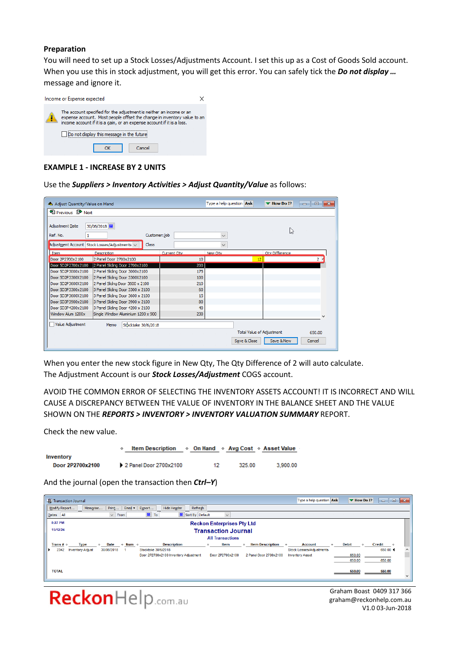#### **Preparation**

You will need to set up a Stock Losses/Adjustments Account. I set this up as a Cost of Goods Sold account. When you use this in stock adjustment, you will get this error. You can safely tick the *Do not display …* message and ignore it.



#### **EXAMPLE 1 - INCREASE BY 2 UNITS**

Use the *Suppliers > Inventory Activities > Adjust Quantity/Value* as follows:

| Adjust Quantity/Value on Hand                 |                                    |                     |             |     | Type a help question Ask |                           | $\blacktriangledown$ How Do I? | $\mathbf{x}$<br>o<br>$\Box$ |
|-----------------------------------------------|------------------------------------|---------------------|-------------|-----|--------------------------|---------------------------|--------------------------------|-----------------------------|
| <sup>1</sup> Previous D <sup></sup> Next      |                                    |                     |             |     |                          |                           |                                |                             |
| <b>Adjustment Date</b>                        | 30/06/2018                         |                     |             |     |                          |                           | hy                             |                             |
| Ref. No.                                      |                                    | Customer: Job       |             |     | $\checkmark$             |                           |                                |                             |
| Adjustment Account Stock Losses/Adjustments v |                                    | <b>Class</b>        |             |     | $\checkmark$             |                           |                                |                             |
| Item                                          | Description                        |                     | Current Otv |     | New Otv                  |                           | Otv Difference                 |                             |
| Door 2P2700x2100                              | 2 Panel Door 2700x2100             |                     |             | 10  |                          | 12                        |                                | 2 <sup>1</sup>              |
| Door SD2P2700x2100                            | 2 Panel Sliding Door 2700x2100     |                     |             | 200 |                          |                           |                                |                             |
| Door SD2P3000x2100                            | 2 Panel Sliding Door 3000x2100     |                     |             | 175 |                          |                           |                                |                             |
| Door SD2P3300X2100                            | 2 Panel Sliding Door 3300X2100     |                     |             | 100 |                          |                           |                                |                             |
| Door SD2P3600X2100                            | 2 Panel Slidng Door 3600 x 2100    |                     |             | 210 |                          |                           |                                |                             |
| Door SD3P3300x2100                            | 3 Panel Sliding Door 3300 x 2100   |                     |             | 60  |                          |                           |                                |                             |
| Door SD3P3600X2100                            | 3 Panel Sliding Door 3600 x 2100   |                     |             | 15  |                          |                           |                                |                             |
| Door SD3P3900x2100                            | 3 Panel Sliding Door 3900 x 2100   |                     |             | 80  |                          |                           |                                |                             |
| Door SD3P4200x2100                            | 3 Panel Sliding Door 4200 x 2100   |                     |             | 40  |                          |                           |                                |                             |
| Window Alum 1200x                             | Single Window Aluminium 1200 x 900 |                     |             | 230 |                          |                           |                                |                             |
| Value Adjustment                              | Memo                               | Stocktake 30/6/2018 |             |     |                          |                           |                                |                             |
|                                               |                                    |                     |             |     |                          | Total Value of Adjustment |                                | 650.00                      |
|                                               |                                    |                     |             |     |                          | Save & Close              | Save & New                     | Cancel                      |

When you enter the new stock figure in New Qty, The Qty Difference of 2 will auto calculate. The Adjustment Account is our *Stock Losses/Adjustment* COGS account.

AVOID THE COMMON ERROR OF SELECTING THE INVENTORY ASSETS ACCOUNT! IT IS INCORRECT AND WILL CAUSE A DISCREPANCY BETWEEN THE VALUE OF INVENTORY IN THE BALANCE SHEET AND THE VALUE SHOWN ON THE *REPORTS > INVENTORY > INVENTORY VALUATION SUMMARY* REPORT.

Check the new value.

|                  | Item Description $\rightarrow$ On Hand $\rightarrow$ Avg Cost $\rightarrow$ Asset Value |    |        |          |
|------------------|-----------------------------------------------------------------------------------------|----|--------|----------|
| Inventory        |                                                                                         |    |        |          |
| Door 2P2700x2100 | 2 Panel Door 2700x2100                                                                  | 12 | 325.00 | 3.900.00 |

And the journal (open the transaction then *Ctrl–Y*)

| Transaction Journal                                                                                                                                         | Type a help question Ask<br>$\begin{array}{c c c c c c} \hline \multicolumn{3}{c }{\mathbf{C}} & \multicolumn{3}{c }{\mathbf{X}} \end{array}$<br>▼ How Do I? |
|-------------------------------------------------------------------------------------------------------------------------------------------------------------|--------------------------------------------------------------------------------------------------------------------------------------------------------------|
| Modify Report<br><b>Hide Header</b><br>Refresh<br>Email •<br>Print<br>Export<br>Memorise                                                                    |                                                                                                                                                              |
| <b>圖 To</b><br>Sort By Default<br>From<br>$\smallsmile$<br>Dates All<br>$\checkmark$                                                                        |                                                                                                                                                              |
| 8:27 PM<br><b>Reckon Enterprises Pty Ltd</b>                                                                                                                |                                                                                                                                                              |
| 15/12/24<br><b>Transaction Journal</b>                                                                                                                      |                                                                                                                                                              |
| <b>All Transactions</b>                                                                                                                                     |                                                                                                                                                              |
| $\lozenge$ Num $\lozenge$<br><b>Type</b><br>Item<br><b>Item Description</b><br>Date<br><b>Description</b><br>Trans# $\triangle$<br>۰<br>$\ddot{\circ}$<br>۰ | <b>Debit</b><br>Credit<br>Account<br>$\Diamond$<br>$\diamond$<br>$\triangle$                                                                                 |
| 2342<br><b>Inventory Adjust</b><br>30/06/2018<br>Stocktake 30/6/2018<br>Door 2P2700x2100<br>2 Panel Door 2700x2100<br>Door 2P2700x2100 Inventory Adjustment | 650.00 4<br><b>Stock Losses/Adjustments</b><br>$\hat{\phantom{a}}$<br>650.00<br><b>Inventory Asset</b>                                                       |
|                                                                                                                                                             | 650.00<br>650.00                                                                                                                                             |
| <b>TOTAL</b>                                                                                                                                                | 650.00                                                                                                                                                       |
|                                                                                                                                                             | 650.00<br>$\checkmark$                                                                                                                                       |
|                                                                                                                                                             |                                                                                                                                                              |

ReckonHelp.com.au

Graham Boast 0409 317 366 graham@reckonhelp.com.au V1.0 03-Jun-2018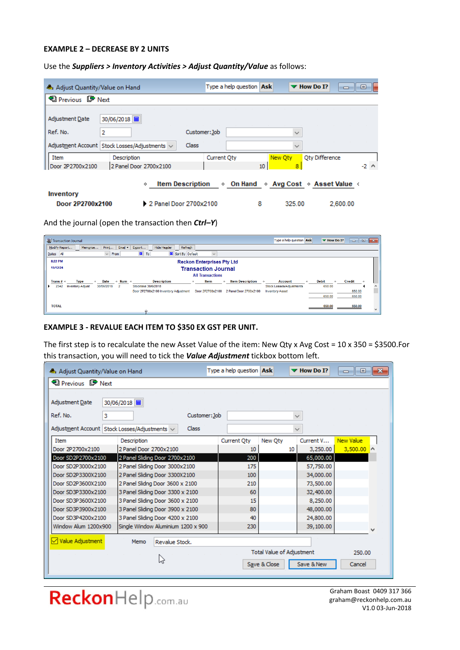#### **EXAMPLE 2 – DECREASE BY 2 UNITS**

Use the *Suppliers > Inventory Activities > Adjust Quantity/Value* as follows:

| Adjust Quantity/Value on Hand                 |                              | Type a help question Ask |                       | $\blacksquare$<br>$\blacktriangledown$ How Do I?<br>O |
|-----------------------------------------------|------------------------------|--------------------------|-----------------------|-------------------------------------------------------|
| <b>中</b> Previous D <sup>→</sup> Next         |                              |                          |                       |                                                       |
| 30/06/2018   田<br>Adjustment Date             |                              |                          |                       |                                                       |
| Ref. No.<br>2                                 |                              | Customer: Job            | $\checkmark$          |                                                       |
| Adjustment Account Stock Losses/Adjustments v | Class                        |                          | $\checkmark$          |                                                       |
| Item<br>Description                           |                              | Current Oty              | New Oty               | Oty Difference                                        |
| 2 Panel Door 2700x2100<br>Door 2P2700x2100    |                              |                          | 10 <sub>10</sub><br>8 | $-2$ $\wedge$                                         |
| Inventory                                     | <b>Item Description</b><br>♦ | ◇ On Hand                |                       | $\Diamond$ Avg Cost $\Diamond$ Asset Value $\Diamond$ |
| Door 2P2700x2100                              | 2 Panel Door 2700x2100       |                          | 8<br>325.00           | 2,600.00                                              |

And the journal (open the transaction then *Ctrl–Y*)

| Transaction Journal                                                                                                                                                         | Type a help question Ask<br>$-23$<br>$\Box$<br>$\blacktriangleright$ How Do I?<br>$\Box$ |
|-----------------------------------------------------------------------------------------------------------------------------------------------------------------------------|------------------------------------------------------------------------------------------|
| <b>Hide Header</b><br>Refresh<br>Modify Report<br>Email $\blacktriangledown$<br>Export<br>Print<br>Memorise                                                                 |                                                                                          |
| <b>Im</b><br>Sort By Default<br>To<br>Dates All<br>From<br>$\checkmark$<br>$\checkmark$                                                                                     |                                                                                          |
| 8:22 PM<br><b>Reckon Enterprises Pty Ltd</b>                                                                                                                                |                                                                                          |
| 15/12/24<br><b>Transaction Journal</b>                                                                                                                                      |                                                                                          |
| <b>All Transactions</b>                                                                                                                                                     |                                                                                          |
| <b>Date</b><br>$\lozenge$ Num $\lozenge$<br><b>Description</b><br><b>Item Description</b><br>Trans# $\circ$<br>ltem<br>Type<br>$\bullet$<br>$\circ$<br>$\ddot{\phantom{1}}$ | <b>Debit</b><br>Credit<br><b>Account</b><br>$\ddot{\phantom{1}}$<br>$\bullet$            |
| 2342<br><b>Inventory Adjust</b><br>30/06/2018<br>Stocktake 30/6/2018<br>$\overline{2}$                                                                                      | 650.00<br><b>Stock Losses/Adjustments</b><br>Α                                           |
| Door 2P2700x2100<br>2 Panel Door 2700x2100<br>Door 2P2700x2100 Inventory Adjustment                                                                                         | 650.00<br><b>Inventory Asset</b>                                                         |
|                                                                                                                                                                             |                                                                                          |
|                                                                                                                                                                             |                                                                                          |
|                                                                                                                                                                             | $\mathcal{A}$                                                                            |
| <b>TOTAL</b>                                                                                                                                                                | 650.00<br>650.00<br>650.00<br>650.00                                                     |

#### **EXAMPLE 3 - REVALUE EACH ITEM TO \$350 EX GST PER UNIT.**

The first step is to recalculate the new Asset Value of the item: New Qty x Avg Cost = 10 x 350 = \$3500.For this transaction, you will need to tick the *Value Adjustment* tickbox bottom left.

| Adjust Quantity/Value on Hand                 |            |                                  |                |                                    | Type a help question Ask |                           |              | $\blacktriangledown$ How Do I? | -الده            | $\Box$ X |
|-----------------------------------------------|------------|----------------------------------|----------------|------------------------------------|--------------------------|---------------------------|--------------|--------------------------------|------------------|----------|
| <b>D</b> Previous D <sup>●</sup> Next         |            |                                  |                |                                    |                          |                           |              |                                |                  |          |
|                                               |            |                                  |                |                                    |                          |                           |              |                                |                  |          |
| Adjustment Date                               | 30/06/2018 |                                  |                |                                    |                          |                           |              |                                |                  |          |
| Ref. No.                                      | 3          |                                  |                | Customer: Job                      |                          |                           | $\checkmark$ |                                |                  |          |
| Adjustment Account Stock Losses/Adjustments v |            |                                  |                | Class                              |                          |                           | $\checkmark$ |                                |                  |          |
| Item                                          |            | Description                      |                |                                    | Current Oty              | New Oty                   |              | Current V                      | <b>New Value</b> |          |
| Door 2P2700x2100                              |            | 2 Panel Door 2700x2100           |                |                                    | 10                       |                           | 10           | 3,250.00                       | $3,500.00$ ^     |          |
| Door SD2P2700x2100                            |            | 2 Panel Sliding Door 2700x2100   |                |                                    | 200                      |                           |              | 65,000.00                      |                  |          |
| Door SD2P3000x2100                            |            | 2 Panel Sliding Door 3000x2100   |                |                                    | 175                      |                           |              | 57,750.00                      |                  |          |
| Door SD2P3300X2100                            |            | 2 Panel Sliding Door 3300X2100   |                |                                    | 100                      |                           |              | 34,000.00                      |                  |          |
| Door SD2P3600X2100                            |            | 2 Panel Slidng Door 3600 x 2100  |                |                                    | 210                      |                           |              | 73,500.00                      |                  |          |
| Door SD3P3300x2100                            |            | 3 Panel Sliding Door 3300 x 2100 |                |                                    | 60                       |                           |              | 32,400.00                      |                  |          |
| Door SD3P3600X2100                            |            | 3 Panel Sliding Door 3600 x 2100 |                |                                    | 15                       |                           |              | 8,250,00                       |                  |          |
| Door SD3P3900x2100                            |            | 3 Panel Sliding Door 3900 x 2100 |                |                                    | 80                       |                           |              | 48,000.00                      |                  |          |
| Door SD3P4200x2100                            |            | 3 Panel Sliding Door 4200 x 2100 |                |                                    | 40                       |                           |              | 24,800.00                      |                  |          |
| Window Alum 1200x900                          |            |                                  |                | Single Window Aluminium 1200 x 900 | 230                      |                           |              | 39,100.00                      |                  |          |
| √ Value Adjustment                            |            | Memo                             | Revalue Stock. |                                    |                          |                           |              |                                |                  |          |
|                                               |            |                                  |                |                                    |                          | Total Value of Adjustment |              |                                | 250.00           |          |
|                                               |            |                                  | hz             |                                    |                          | Save & Close              |              | Save & New                     | Cancel           |          |

ReckonHelp.com.au

Graham Boast 0409 317 366 graham@reckonhelp.com.au V1.0 03-Jun-2018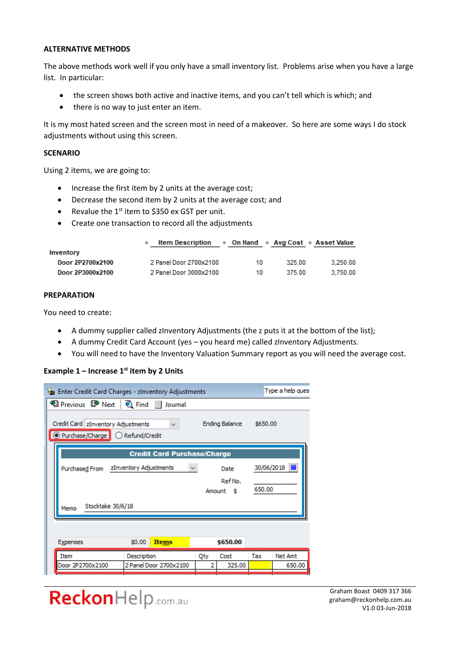#### **ALTERNATIVE METHODS**

The above methods work well if you only have a small inventory list. Problems arise when you have a large list. In particular:

- the screen shows both active and inactive items, and you can't tell which is which; and
- there is no way to just enter an item.

It is my most hated screen and the screen most in need of a makeover. So here are some ways I do stock adjustments without using this screen.

#### **SCENARIO**

Using 2 items, we are going to:

- Increase the first item by 2 units at the average cost;
- Decrease the second item by 2 units at the average cost; and
- Revalue the  $1<sup>st</sup>$  item to \$350 ex GST per unit.
- Create one transaction to record all the adjustments

|                  | <b>Item Description</b> |    |        | $\Diamond$ On Hand $\Diamond$ Avg Cost $\Diamond$ Asset Value |
|------------------|-------------------------|----|--------|---------------------------------------------------------------|
| Inventory        |                         |    |        |                                                               |
| Door 2P2700x2100 | 2 Panel Door 2700x2100  | 10 | 325.00 | 3.250.00                                                      |
| Door 2P3000x2100 | 2 Panel Door 3000x2100  | 10 | 375.00 | 3.750.00                                                      |

#### **PREPARATION**

You need to create:

- A dummy supplier called zInventory Adjustments (the z puts it at the bottom of the list);
- A dummy Credit Card Account (yes you heard me) called zInventory Adjustments.
- You will need to have the Inventory Valuation Summary report as you will need the average cost.

# **Example 1 – Increase 1st item by 2 Units**

| <b>Algerm</b> Enter Credit Card Charges - zinventory Adjustments          |                                                         |     |                |          | Type a help ques |  |  |
|---------------------------------------------------------------------------|---------------------------------------------------------|-----|----------------|----------|------------------|--|--|
| 19 Previous ■ Next   2 Find ■ Journal                                     |                                                         |     |                |          |                  |  |  |
| Credit Card   zInventory Adjustments<br>© Purchase/Charge C Refund/Credit | $\checkmark$                                            |     | Ending Balance | \$650.00 |                  |  |  |
|                                                                           | <b>Credit Card Purchase/Charge</b>                      |     |                |          |                  |  |  |
| Purchased From                                                            | 30/06/2018<br>zInventory Adjustments<br>Date<br>Ref No. |     |                |          |                  |  |  |
| Stocktake 30/6/18<br>Memo                                                 |                                                         |     | Amount \$      | 650.00   |                  |  |  |
|                                                                           |                                                         |     |                |          |                  |  |  |
| Expenses                                                                  | \$0.00<br><b>Items</b>                                  |     | \$650.00       |          |                  |  |  |
| Item                                                                      | Description                                             | Qty | Cost           | Tax      | <b>Net Amt</b>   |  |  |
| Door 2P2700x2100                                                          | 2 Panel Door 2700x2100                                  |     | 325.00         |          | 650.00           |  |  |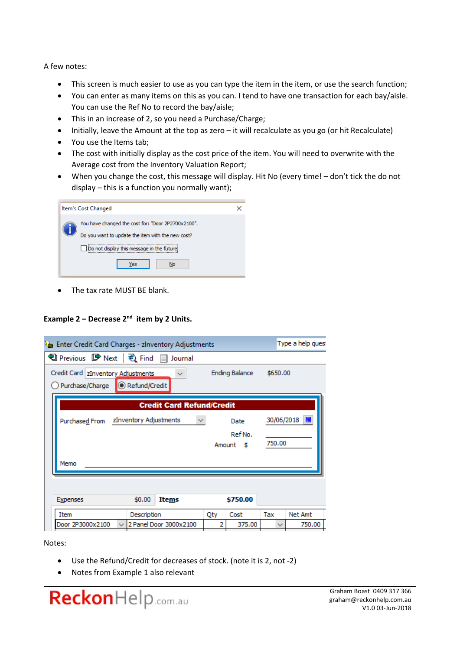A few notes:

- This screen is much easier to use as you can type the item in the item, or use the search function;
- You can enter as many items on this as you can. I tend to have one transaction for each bay/aisle. You can use the Ref No to record the bay/aisle;
- This in an increase of 2, so you need a Purchase/Charge;
- Initially, leave the Amount at the top as zero it will recalculate as you go (or hit Recalculate)
- You use the Items tab;
- The cost with initially display as the cost price of the item. You will need to overwrite with the Average cost from the Inventory Valuation Report;
- When you change the cost, this message will display. Hit No (every time! don't tick the do not display – this is a function you normally want);

| Item's Cost Changed                                                                                                                                        |  |
|------------------------------------------------------------------------------------------------------------------------------------------------------------|--|
| You have changed the cost for: "Door 2P2700x2100".<br>Do you want to update the item with the new cost?<br>Do not display this message in the future<br>es |  |

• The tax rate MUST BE blank.

# **Example 2 – Decrease 2nd item by 2 Units.**

| Type a help quest<br>Enter Credit Card Charges - zinventory Adjustments             |                        |                                  |     |           |            |         |  |  |  |  |
|-------------------------------------------------------------------------------------|------------------------|----------------------------------|-----|-----------|------------|---------|--|--|--|--|
| 19 Previous ■ Next   它 Find ■ Journal                                               |                        |                                  |     |           |            |         |  |  |  |  |
| Credit Card   zInventory Adjustments<br><b>Ending Balance</b><br>\$650.00<br>$\sim$ |                        |                                  |     |           |            |         |  |  |  |  |
| Refund/Credit<br>Purchase/Charge                                                    |                        |                                  |     |           |            |         |  |  |  |  |
|                                                                                     |                        | <b>Credit Card Refund/Credit</b> |     |           |            |         |  |  |  |  |
| Purchased From                                                                      | zInventory Adjustments | $\checkmark$                     |     | Date      | 30/06/2018 | 匷       |  |  |  |  |
|                                                                                     |                        |                                  |     | Ref No.   |            |         |  |  |  |  |
|                                                                                     |                        |                                  |     | Amount \$ | 750.00     |         |  |  |  |  |
| Memo                                                                                |                        |                                  |     |           |            |         |  |  |  |  |
|                                                                                     |                        |                                  |     |           |            |         |  |  |  |  |
|                                                                                     |                        |                                  |     |           |            |         |  |  |  |  |
|                                                                                     |                        |                                  |     |           |            |         |  |  |  |  |
| Expenses                                                                            | \$0.00                 | Items                            |     | \$750.00  |            |         |  |  |  |  |
| Item                                                                                | Description            |                                  | Qty | Cost      | Tax        | Net Amt |  |  |  |  |

Notes:

- Use the Refund/Credit for decreases of stock. (note it is 2, not -2)
- Notes from Example 1 also relevant

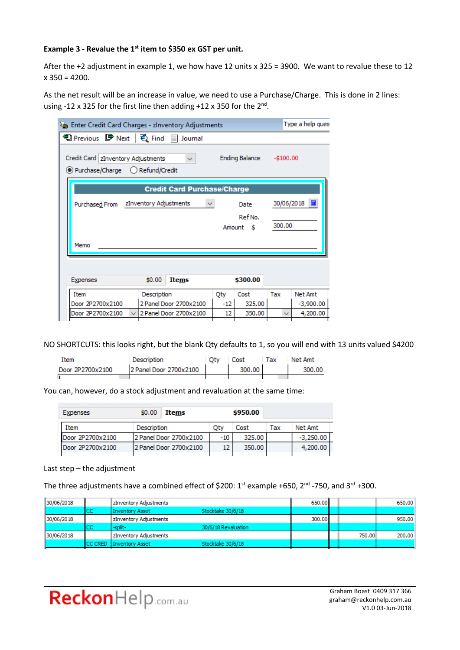# **Example 3 - Revalue the 1st item to \$350 ex GST per unit.**

After the +2 adjustment in example 1, we how have 12 units x 325 = 3900. We want to revalue these to 12  $x$  350 = 4200.

As the net result will be an increase in value, we need to use a Purchase/Charge. This is done in 2 lines: using -12 x 325 for the first line then adding +12 x 350 for the 2<sup>nd</sup>.

| Enter Credit Card Charges - zinventory Adjustments                           |             |                                    |            |                |            | Type a help ques |
|------------------------------------------------------------------------------|-------------|------------------------------------|------------|----------------|------------|------------------|
| 19 Previous ■ Next   2 Find ■ Journal                                        |             |                                    |            |                |            |                  |
| Credit Card   zInventory Adjustments<br>(e) Purchase/Charge () Refund/Credit |             | $\checkmark$                       |            | Ending Balance | $-$100.00$ |                  |
|                                                                              |             | <b>Credit Card Purchase/Charge</b> |            |                |            |                  |
| 30/06/2018  <br>zInventory Adjustments<br>Purchased From<br>Date             |             |                                    |            |                |            |                  |
| Ref No.<br>300.00<br>Amount \$                                               |             |                                    |            |                |            |                  |
| Memo                                                                         |             |                                    |            |                |            |                  |
|                                                                              |             |                                    |            |                |            |                  |
|                                                                              |             |                                    |            |                |            |                  |
| <b>Expenses</b>                                                              | \$0.00      | Items                              |            | \$300.00       |            |                  |
| <b>Item</b>                                                                  | Description |                                    | <b>Oty</b> | Cost           | Tax        | Net Amt          |
| Door 2P2700x2100                                                             |             | 2 Panel Door 2700x2100             | -12        | 325.00         |            | $-3,900.00$      |

NO SHORTCUTS: this looks right, but the blank Qty defaults to 1, so you will end with 13 units valued \$4200

| Ttem             | Description            | Oty | Cost   | Тах | Net Amt |
|------------------|------------------------|-----|--------|-----|---------|
| Door 2P2700x2100 | 2 Panel Door 2700x2100 |     | 300.00 |     | 300.00  |
|                  |                        |     |        |     |         |

You can, however, do a stock adjustment and revaluation at the same time:

| Expenses         | \$0.00      | Items                  |     | \$950.00 |     |             |
|------------------|-------------|------------------------|-----|----------|-----|-------------|
| Item             | Description |                        | Oty | Cost     | Tax | Net Amt     |
| Door 2P2700x2100 |             | 2 Panel Door 2700x2100 | -10 | 325.00   |     | $-3.250.00$ |
| Door 2P2700x2100 |             | 2 Panel Door 2700x2100 | 12  | 350.00   |     | 4,200.00    |

#### Last step – the adjustment

The three adjustments have a combined effect of \$200:  $1^{st}$  example +650,  $2^{nd}$  -750, and  $3^{rd}$  +300.

| 30/06/2018 |     | <b>ZInventory Adjustments</b> |                     | 650.00 |        | 650.00 |
|------------|-----|-------------------------------|---------------------|--------|--------|--------|
|            | ICC | <b>IInventory Asset</b>       | Stocktake 30/6/18   |        |        |        |
| 30/06/2018 |     | <b>ZInventory Adjustments</b> |                     | 300.00 |        | 950.00 |
|            | ICC | ll-split-                     | 30/6/18 Revaluation |        |        |        |
| 30/06/2018 |     | <b>ZInventory Adjustments</b> |                     |        | 750.00 | 200.00 |
|            |     | CC CRED Inventory Asset       | Stocktake 30/6/18   |        |        |        |